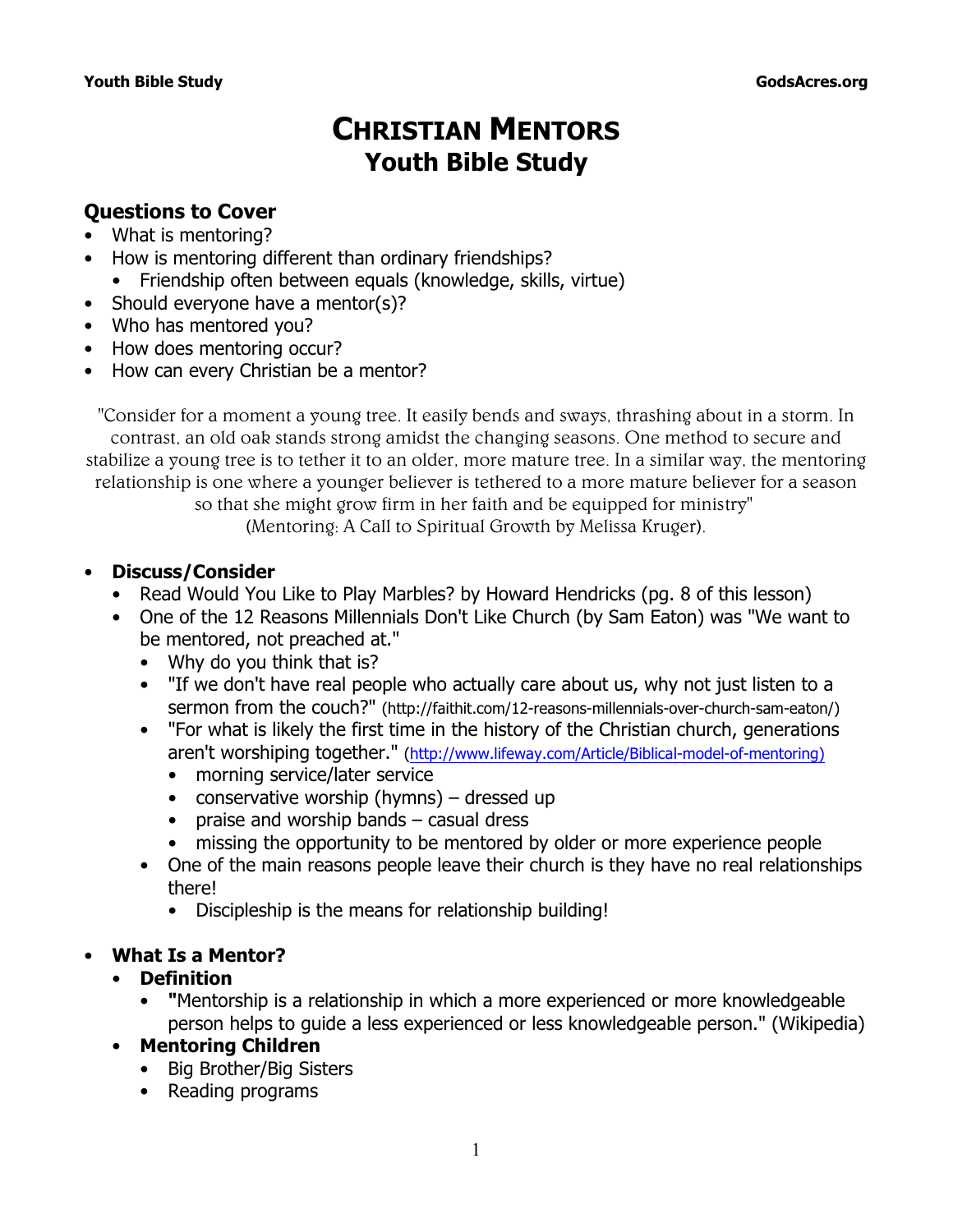# **CHRISTIAN MENTORS Youth Bible Study**

## **Questions to Cover**

- What is mentoring?
- How is mentoring different than ordinary friendships? • Friendship often between equals (knowledge, skills, virtue)
- Should everyone have a mentor(s)?
- Who has mentored you?
- How does mentoring occur?
- How can every Christian be a mentor?

"Consider for a moment a young tree. It easily bends and sways, thrashing about in a storm. In contrast, an old oak stands strong amidst the changing seasons. One method to secure and stabilize a young tree is to tether it to an older, more mature tree. In a similar way, the mentoring relationship is one where a younger believer is tethered to a more mature believer for a season so that she might grow firm in her faith and be equipped for ministry" (*Mentoring: A Call to Spiritual Growth* by Melissa Kruger).

## • **Discuss/Consider**

- Read *Would You Like to Play Marbles?* by Howard Hendricks (pg. 8 of this lesson)
- One of the *12 Reasons Millennials Don't Like Church* (by Sam Eaton) was "We want to be mentored, not preached at."
	- Why do you think that is?
	- "If we don't have real people who actually care about us, why not just listen to a sermon from the couch?" (http://faithit.com/12-reasons-millennials-over-church-sam-eaton/)
	- "For what is likely the first time in the history of the Christian church, generations aren't worshiping together." (http://www.lifeway.com/Article/Biblical-model-of-mentoring)
		- morning service/later service
		- conservative worship (hymns) dressed up
		- praise and worship bands casual dress
		- missing the opportunity to be mentored by older or more experience people
	- One of the main reasons people leave their church is they have no real relationships there!
		- Discipleship is the means for relationship building!

## • **What Is a Mentor?**

## • **Definition**

- **"**Mentorship is a relationship in which a more experienced or more knowledgeable person helps to guide a less experienced or less knowledgeable person." (*Wikipedia*)
- **Mentoring Children**
	- Big Brother/Big Sisters
	- Reading programs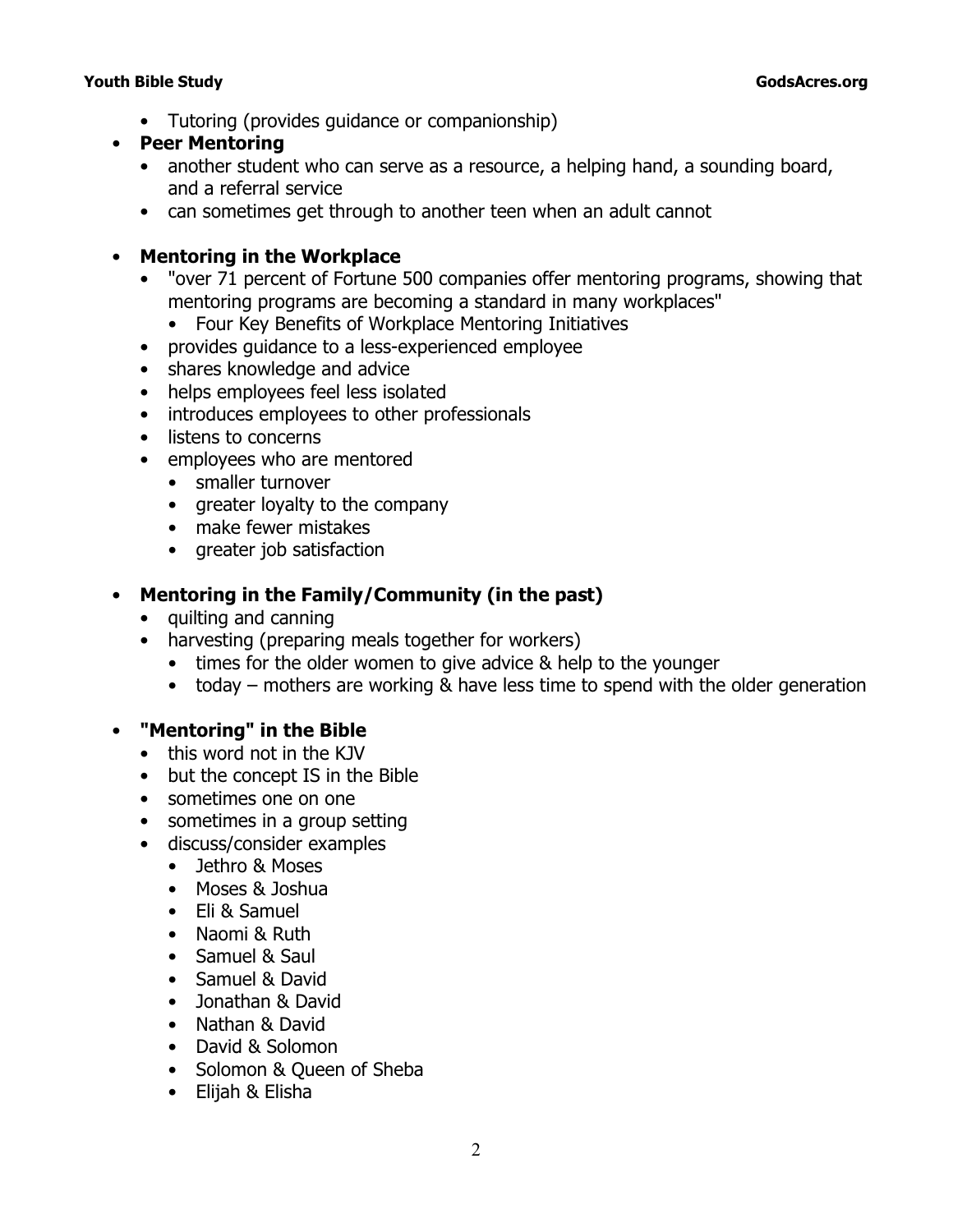- Tutoring (provides guidance or companionship)
- **Peer Mentoring**
	- another student who can serve as a resource, a helping hand, a sounding board, and a referral service
	- can sometimes get through to another teen when an adult cannot

## • **Mentoring in the Workplace**

- "over 71 percent of Fortune 500 companies offer mentoring programs, showing that mentoring programs are becoming a standard in many workplaces"
	- *Four Key Benefits of Workplace Mentoring Initiatives*
- provides guidance to a less-experienced employee
- shares knowledge and advice
- helps employees feel less isolated
- introduces employees to other professionals
- listens to concerns
- employees who are mentored
	- smaller turnover
	- greater loyalty to the company
	- make fewer mistakes
	- greater job satisfaction

## • **Mentoring in the Family/Community (in the past)**

- quilting and canning
- harvesting (preparing meals together for workers)
	- times for the older women to give advice & help to the younger
	- today mothers are working & have less time to spend with the older generation

## • **"Mentoring" in the Bible**

- this word not in the KJV
- but the concept IS in the Bible
- sometimes one on one
- sometimes in a group setting
- discuss/consider examples
	- Jethro & Moses
	- Moses & Joshua
	- Eli & Samuel
	- Naomi & Ruth
	- Samuel & Saul
	- Samuel & David
	- Jonathan & David
	- Nathan & David
	- David & Solomon
	- Solomon & Queen of Sheba
	- Elijah & Elisha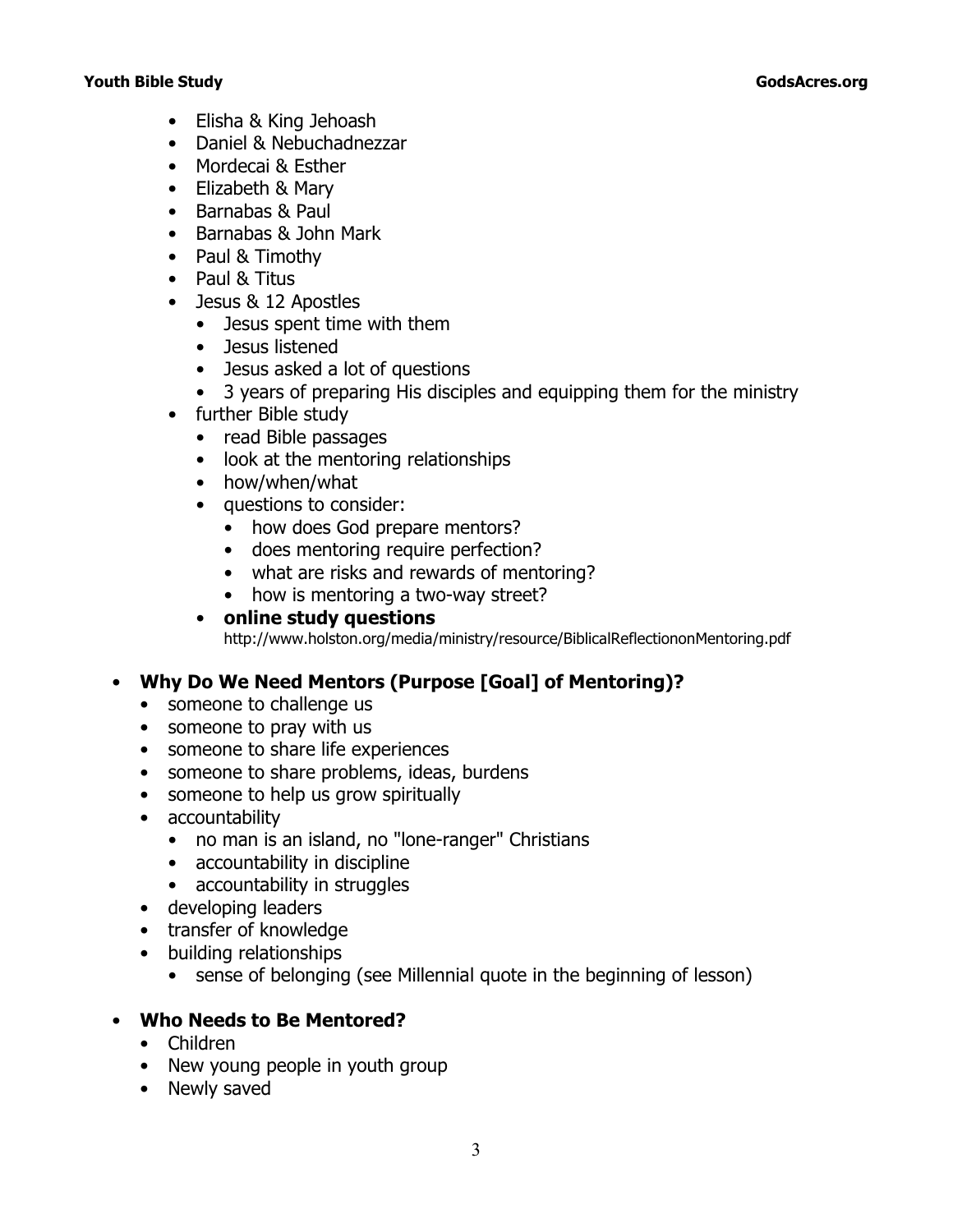- Elisha & King Jehoash
- Daniel & Nebuchadnezzar
- Mordecai & Esther
- Elizabeth & Mary
- Barnabas & Paul
- Barnabas & John Mark
- Paul & Timothy
- Paul & Titus
- Jesus & 12 Apostles
	- Jesus spent time with them
	- Jesus listened
	- Jesus asked a lot of questions
	- 3 years of preparing His disciples and equipping them for the ministry
- further Bible study
	- read Bible passages
	- look at the mentoring relationships
	- how/when/what
	- questions to consider:
		- how does God prepare mentors?
		- does mentoring require perfection?
		- what are risks and rewards of mentoring?
		- how is mentoring a two-way street?

#### • **online study questions** http://www.holston.org/media/ministry/resource/BiblicalReflectiononMentoring.pdf

## • **Why Do We Need Mentors (Purpose [Goal] of Mentoring)?**

- someone to challenge us
- someone to pray with us
- someone to share life experiences
- someone to share problems, ideas, burdens
- someone to help us grow spiritually
- accountability
	- no man is an island, no "lone-ranger" Christians
	- accountability in discipline
	- accountability in struggles
- developing leaders
- transfer of knowledge
- building relationships
	- sense of belonging (see Millennial quote in the beginning of lesson)

## • **Who Needs to Be Mentored?**

- Children
- New young people in youth group
- Newly saved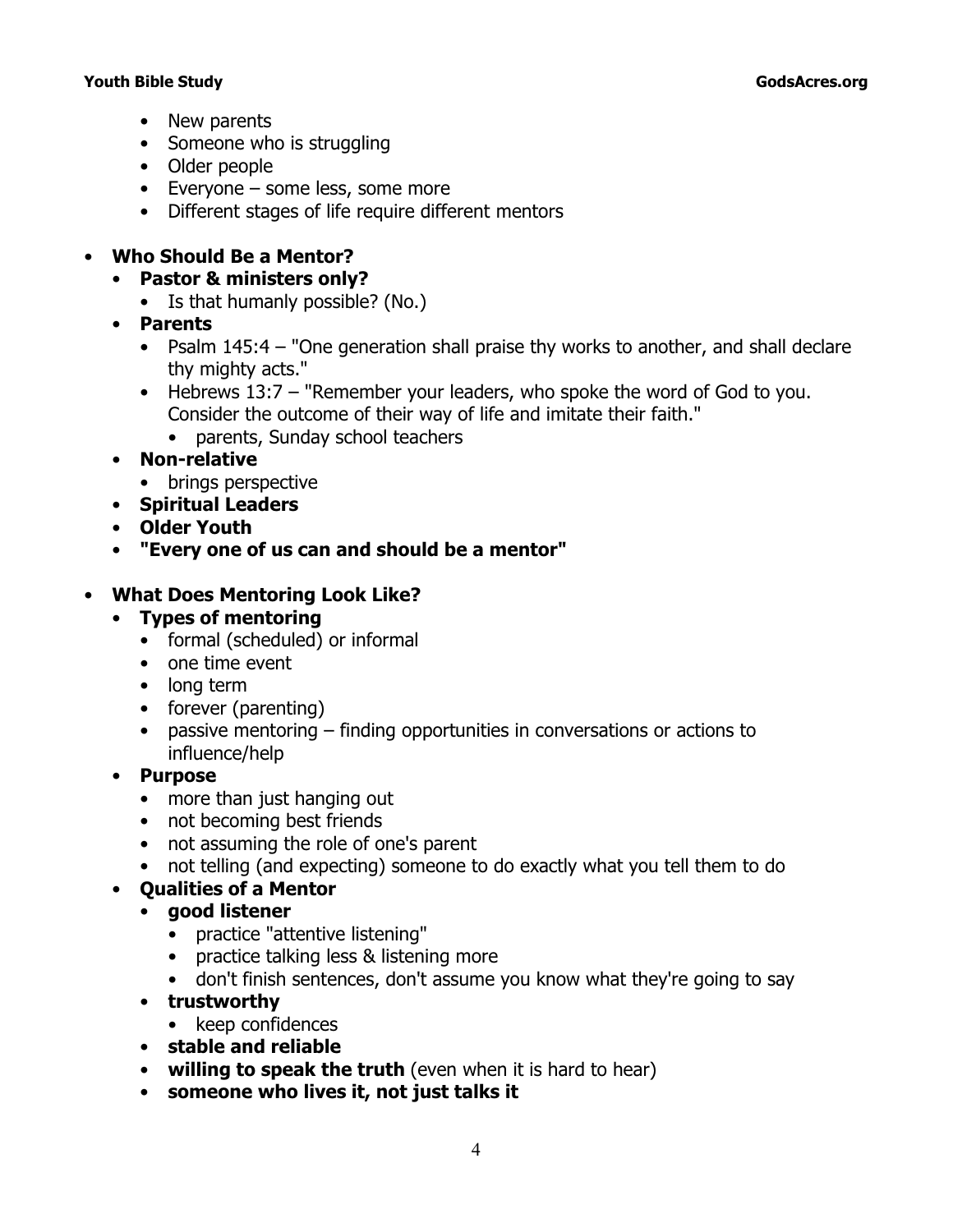- New parents
- Someone who is struggling
- Older people
- Everyone some less, some more
- Different stages of life require different mentors

## • **Who Should Be a Mentor?**

- **Pastor & ministers only?** 
	- Is that humanly possible? (No.)
- **Parents**
	- Psalm 145:4  *"One generation shall praise thy works to another, and shall declare thy mighty acts."*
	- Hebrews 13:7  *"Remember your leaders, who spoke the word of God to you. Consider the outcome of their way of life and imitate their faith."*
		- parents, Sunday school teachers
- **Non-relative**
	- brings perspective
- **Spiritual Leaders**
- **Older Youth**
- **"Every one of us can and should be a mentor"**

## • **What Does Mentoring Look Like?**

- **Types of mentoring**
	- formal (scheduled) or informal
	- one time event
	- long term
	- forever (parenting)
	- passive mentoring finding opportunities in conversations or actions to influence/help
- **Purpose**
	- more than just hanging out
	- not becoming best friends
	- not assuming the role of one's parent
	- not telling (and expecting) someone to do exactly what you tell them to do

## • **Qualities of a Mentor**

- **good listener**
	- practice "attentive listening"
	- practice talking less & listening more
	- don't finish sentences, don't assume you know what they're going to say
- **trustworthy**
- keep confidences
- **stable and reliable**
- **willing to speak the truth** (even when it is hard to hear)
- **someone who lives it, not just talks it**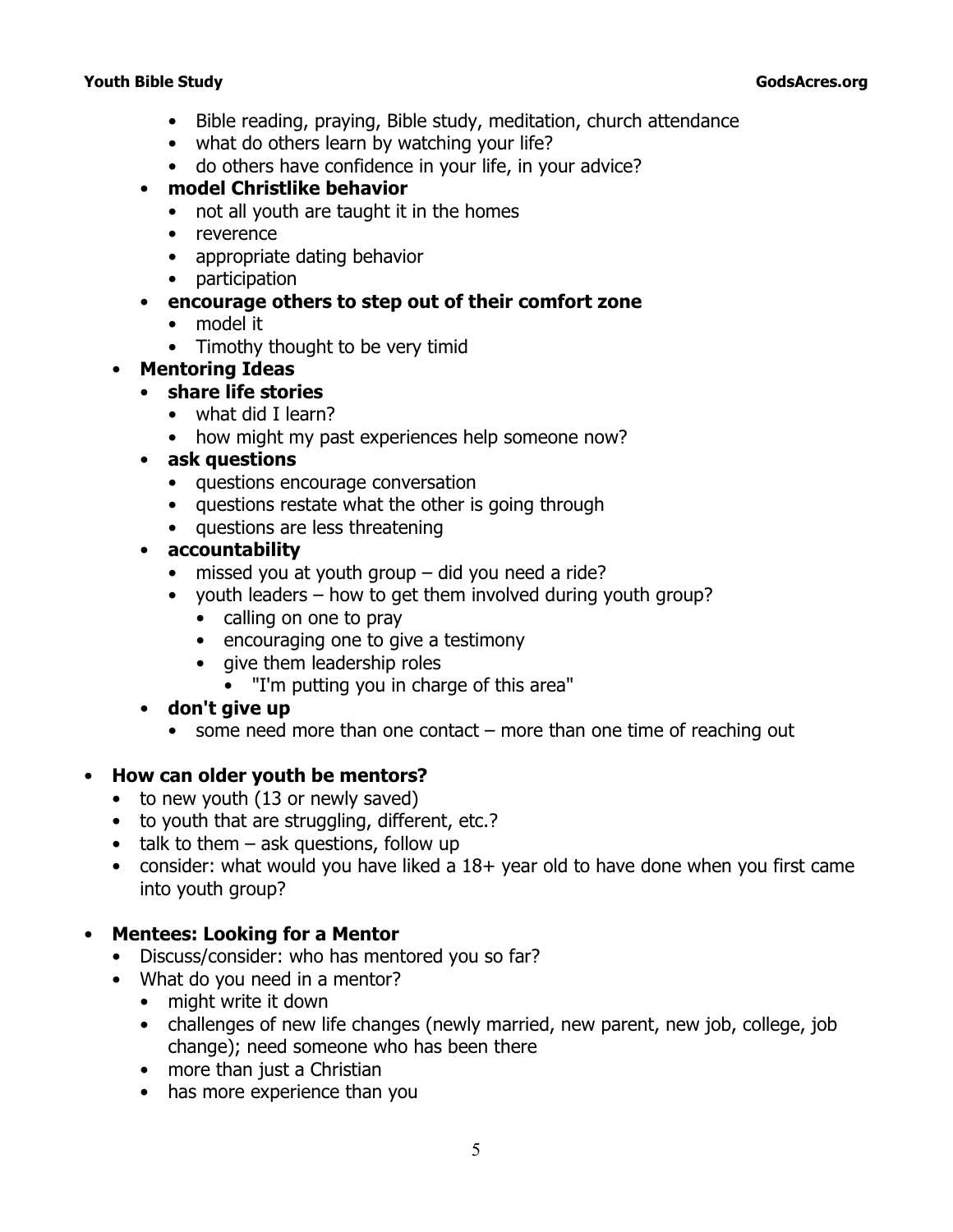- Bible reading, praying, Bible study, meditation, church attendance
- what do others learn by watching your life?
- do others have confidence in your life, in your advice?
- **model Christlike behavior**
	- not all youth are taught it in the homes
	- reverence
	- appropriate dating behavior
	- participation

## • **encourage others to step out of their comfort zone**

- model it
- Timothy thought to be very timid
- **Mentoring Ideas**
	- **share life stories**
		- what did I learn?
		- how might my past experiences help someone now?
	- **ask questions**
		- questions encourage conversation
		- questions restate what the other is going through
		- questions are less threatening
	- **accountability**
		- missed you at youth group did you need a ride?
		- youth leaders how to get them involved during youth group?
			- calling on one to pray
			- encouraging one to give a testimony
			- give them leadership roles
				- "I'm putting you in charge of this area"
	- **don't give up**
		- some need more than one contact more than one time of reaching out

## • **How can older youth be mentors?**

- to new youth (13 or newly saved)
- to youth that are struggling, different, etc.?
- $\bullet$  talk to them ask questions, follow up
- consider: what would you have liked a 18+ year old to have done when you first came into youth group?

## • **Mentees: Looking for a Mentor**

- Discuss/consider: who has mentored you so far?
- What do you need in a mentor?
	- might write it down
	- challenges of new life changes (newly married, new parent, new job, college, job change); need someone who has been there
	- more than just a Christian
	- has more experience than you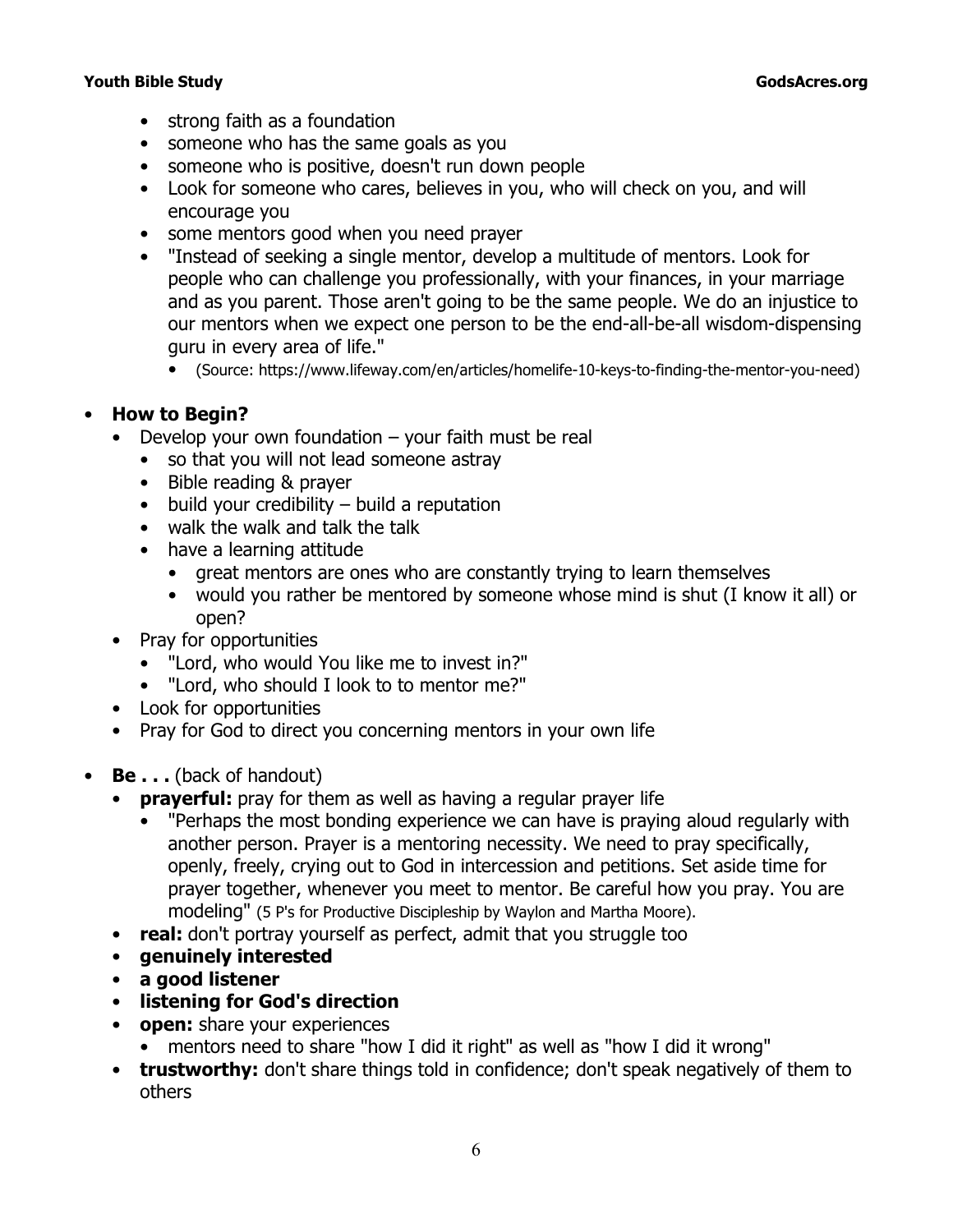- strong faith as a foundation
- someone who has the same goals as you
- someone who is positive, doesn't run down people
- Look for someone who cares, believes in you, who will check on you, and will encourage you
- some mentors good when you need prayer
- "Instead of seeking a single mentor, develop a multitude of mentors. Look for people who can challenge you professionally, with your finances, in your marriage and as you parent. Those aren't going to be the same people. We do an injustice to our mentors when we expect one person to be the end-all-be-all wisdom-dispensing guru in every area of life."
	- (Source: https://www.lifeway.com/en/articles/homelife-10-keys-to-finding-the-mentor-you-need)

## • **How to Begin?**

- Develop your own foundation your faith must be real
	- so that you will not lead someone astray
	- Bible reading & prayer
	- build your credibility build a reputation
	- walk the walk and talk the talk
	- have a learning attitude
		- great mentors are ones who are constantly trying to learn themselves
		- would you rather be mentored by someone whose mind is shut (I know it all) or open?
- Pray for opportunities
	- "Lord, who would You like me to invest in?"
	- "Lord, who should I look to to mentor me?"
- Look for opportunities
- Pray for God to direct you concerning mentors in your own life
- **Be...** (back of handout)
	- **prayerful:** pray for them as well as having a regular prayer life
		- "Perhaps the most bonding experience we can have is praying aloud regularly with another person. Prayer is a mentoring necessity. We need to pray specifically, openly, freely, crying out to God in intercession and petitions. Set aside time for prayer together, whenever you meet to mentor. Be careful how you pray. You are modeling" (*5 P's for Productive Discipleship* by Waylon and Martha Moore).
	- **real:** don't portray yourself as perfect, admit that you struggle too
	- **genuinely interested**
	- **a good listener**
	- **listening for God's direction**
	- **open:** share your experiences
		- mentors need to share "how I did it right" as well as "how I did it wrong"
	- **trustworthy:** don't share things told in confidence; don't speak negatively of them to others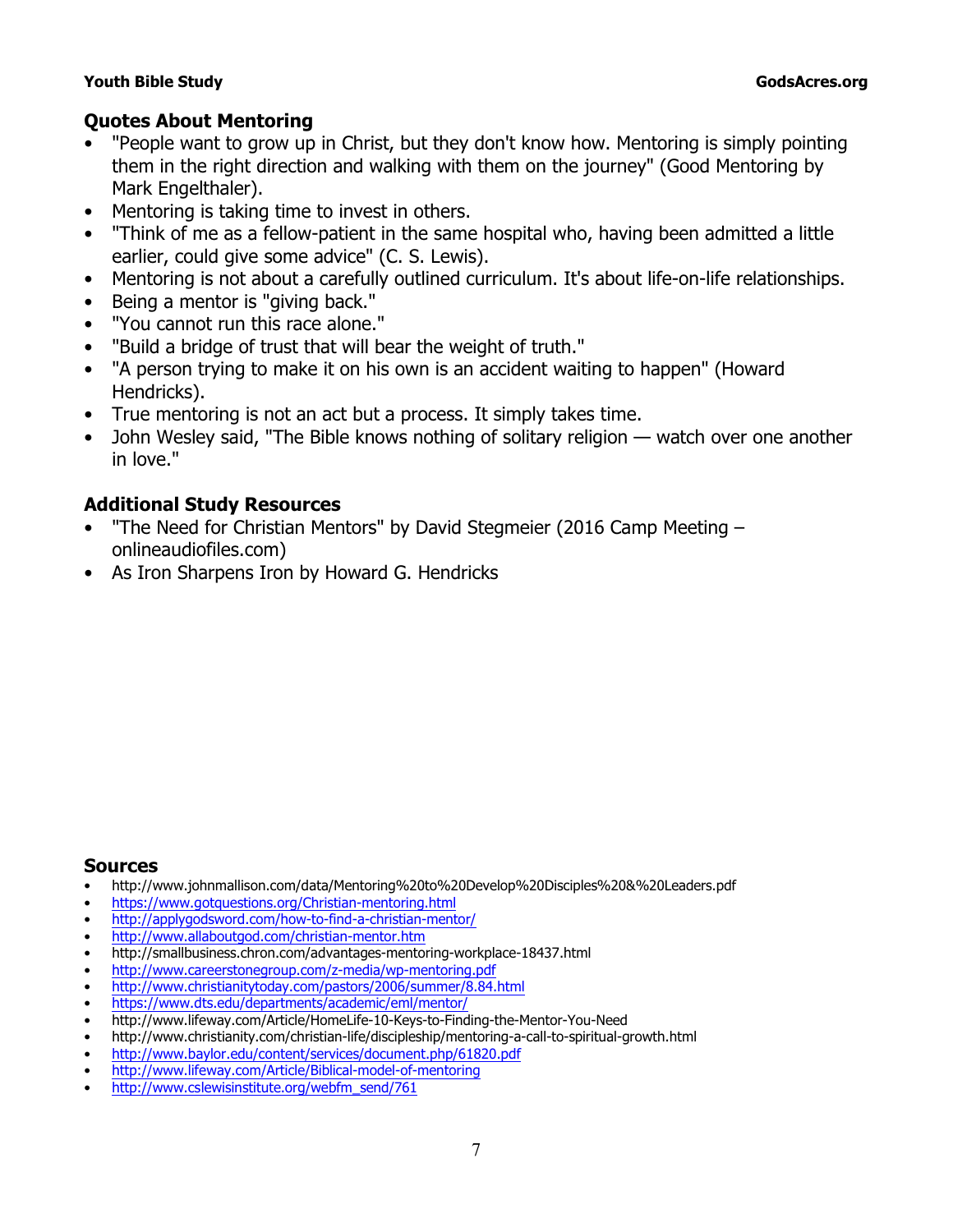## **Quotes About Mentoring**

- "People want to grow up in Christ, but they don't know how. Mentoring is simply pointing them in the right direction and walking with them on the journey" (*Good Mentoring* by Mark Engelthaler).
- Mentoring is taking time to invest in others.
- "Think of me as a fellow-patient in the same hospital who, having been admitted a little earlier, could give some advice" (C. S. Lewis).
- Mentoring is not about a carefully outlined curriculum. It's about life-on-life relationships.
- Being a mentor is "giving back."
- "You cannot run this race alone."
- "Build a bridge of trust that will bear the weight of truth."
- "A person trying to make it on his own is an accident waiting to happen" (Howard Hendricks).
- True mentoring is not an act but a process. It simply takes time.
- John Wesley said, "The Bible knows nothing of solitary religion watch over one another in love."

## **Additional Study Resources**

- "The Need for Christian Mentors" by David Stegmeier (2016 Camp Meeting onlineaudiofiles.com)
- *As Iron Sharpens Iron* by Howard G. Hendricks

## **Sources**

- http://www.johnmallison.com/data/Mentoring%20to%20Develop%20Disciples%20&%20Leaders.pdf
- https://www.gotquestions.org/Christian-mentoring.html
- http://applygodsword.com/how-to-find-a-christian-mentor/
- http://www.allaboutgod.com/christian-mentor.htm
- http://smallbusiness.chron.com/advantages-mentoring-workplace-18437.html
- http://www.careerstonegroup.com/z-media/wp-mentoring.pdf
- http://www.christianitytoday.com/pastors/2006/summer/8.84.html
- https://www.dts.edu/departments/academic/eml/mentor/
- http://www.lifeway.com/Article/HomeLife-10-Keys-to-Finding-the-Mentor-You-Need
- http://www.christianity.com/christian-life/discipleship/mentoring-a-call-to-spiritual-growth.html
- http://www.baylor.edu/content/services/document.php/61820.pdf
- http://www.lifeway.com/Article/Biblical-model-of-mentoring
- http://www.cslewisinstitute.org/webfm\_send/761